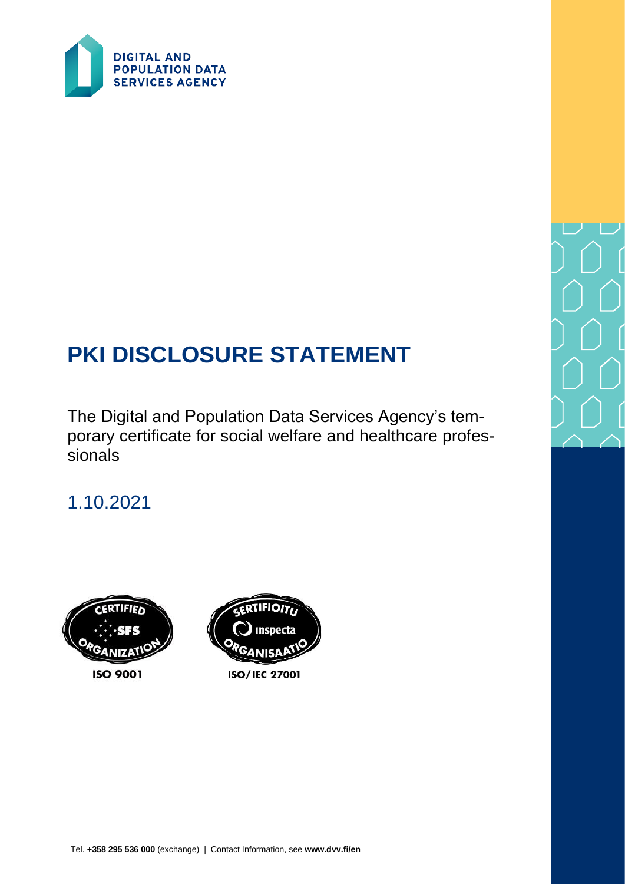

# **PKI DISCLOSURE STATEMENT**

The Digital and Population Data Services Agency's temporary certificate for social welfare and healthcare professionals

1.10.2021



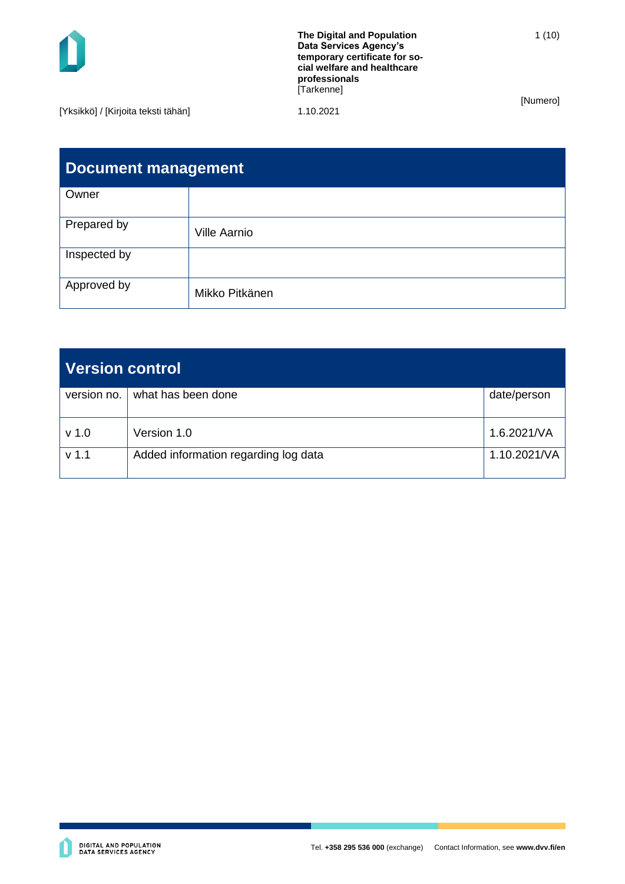

[Yksikkö] / [Kirjoita teksti tähän] 1.10.2021

| <b>Document management</b> |                     |  |  |  |
|----------------------------|---------------------|--|--|--|
| Owner                      |                     |  |  |  |
| Prepared by                | <b>Ville Aarnio</b> |  |  |  |
| Inspected by               |                     |  |  |  |
| Approved by                | Mikko Pitkänen      |  |  |  |

| Version control  |                                      |              |  |  |
|------------------|--------------------------------------|--------------|--|--|
| version no.      | what has been done                   | date/person  |  |  |
| v <sub>1.0</sub> | Version 1.0                          | 1.6.2021/VA  |  |  |
| v <sub>1.1</sub> | Added information regarding log data | 1.10.2021/VA |  |  |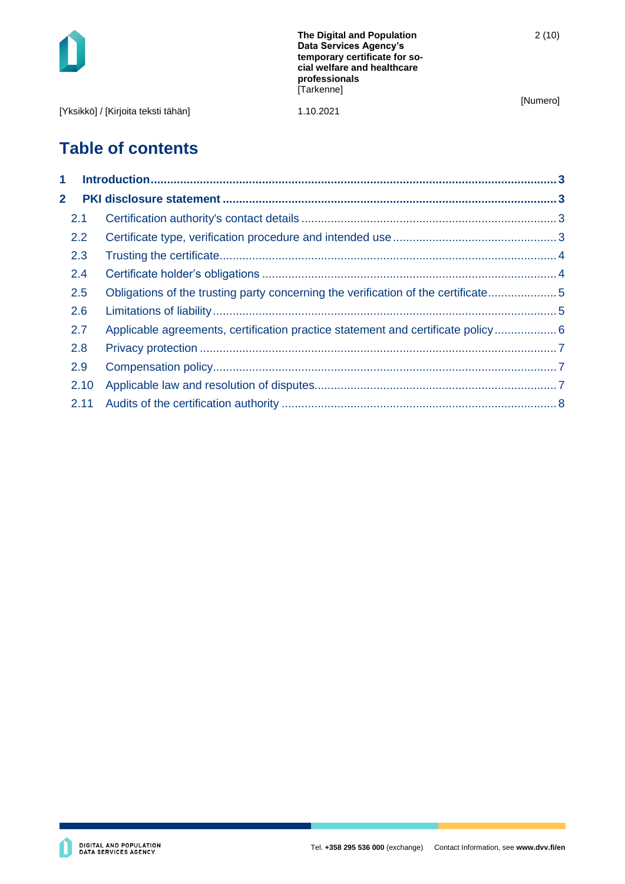

|                                     | The Digital and Population<br>Data Services Agency's<br>temporary certificate for so-<br>cial welfare and healthcare<br>professionals<br>[Tarkenne] |  |
|-------------------------------------|-----------------------------------------------------------------------------------------------------------------------------------------------------|--|
| [Yksikkö] / [Kirjoita teksti tähän] | 1.10.2021                                                                                                                                           |  |

# **Table of contents**

| $\mathbf 1$    |      |                                                                                   |  |
|----------------|------|-----------------------------------------------------------------------------------|--|
| $\overline{2}$ |      |                                                                                   |  |
|                | 2.1  |                                                                                   |  |
|                | 2.2  |                                                                                   |  |
|                | 2.3  |                                                                                   |  |
|                | 2.4  |                                                                                   |  |
|                | 2.5  | Obligations of the trusting party concerning the verification of the certificate5 |  |
|                | 2.6  |                                                                                   |  |
|                | 2.7  | Applicable agreements, certification practice statement and certificate policy6   |  |
|                | 2.8  |                                                                                   |  |
|                | 2.9  |                                                                                   |  |
|                | 2.10 |                                                                                   |  |
|                | 2.11 |                                                                                   |  |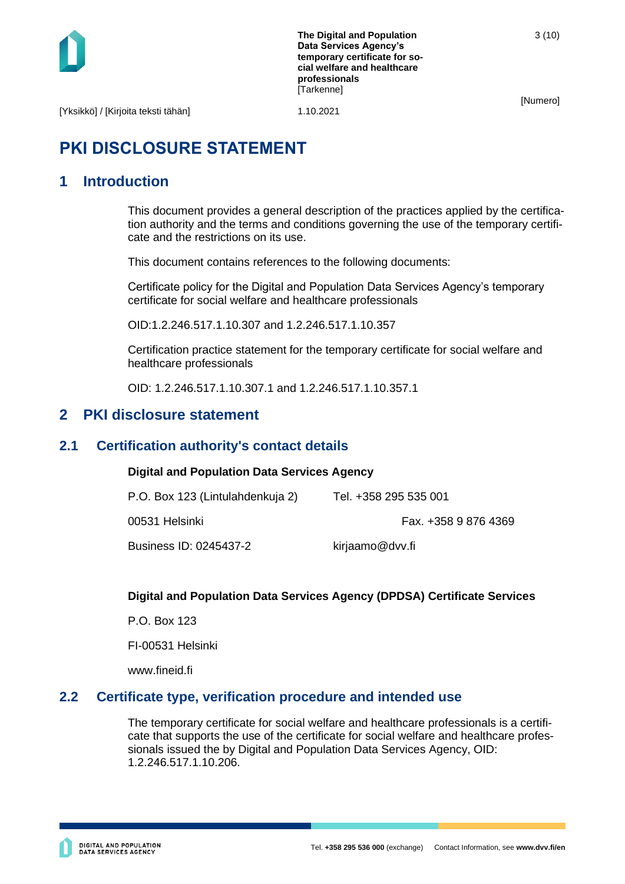

3 (10)

[Yksikkö] / [Kirjoita teksti tähän] 1.10.2021

# **PKI DISCLOSURE STATEMENT**

# <span id="page-3-0"></span>**1 Introduction**

This document provides a general description of the practices applied by the certification authority and the terms and conditions governing the use of the temporary certificate and the restrictions on its use.

This document contains references to the following documents:

Certificate policy for the Digital and Population Data Services Agency's temporary certificate for social welfare and healthcare professionals

OID:1.2.246.517.1.10.307 and 1.2.246.517.1.10.357

Certification practice statement for the temporary certificate for social welfare and healthcare professionals

OID: 1.2.246.517.1.10.307.1 and 1.2.246.517.1.10.357.1

# <span id="page-3-1"></span>**2 PKI disclosure statement**

# <span id="page-3-2"></span>**2.1 Certification authority's contact details**

#### **Digital and Population Data Services Agency**

P.O. Box 123 (Lintulahdenkuja 2) Tel. +358 295 535 001

00531 Helsinki Fax. +358 9 876 4369

Business ID: 0245437-2 kirjaamo@dvv.fi

#### **Digital and Population Data Services Agency (DPDSA) Certificate Services**

P.O. Box 123

FI-00531 Helsinki

www.fineid.fi

#### <span id="page-3-3"></span>**2.2 Certificate type, verification procedure and intended use**

The temporary certificate for social welfare and healthcare professionals is a certificate that supports the use of the certificate for social welfare and healthcare professionals issued the by Digital and Population Data Services Agency, OID: 1.2.246.517.1.10.206.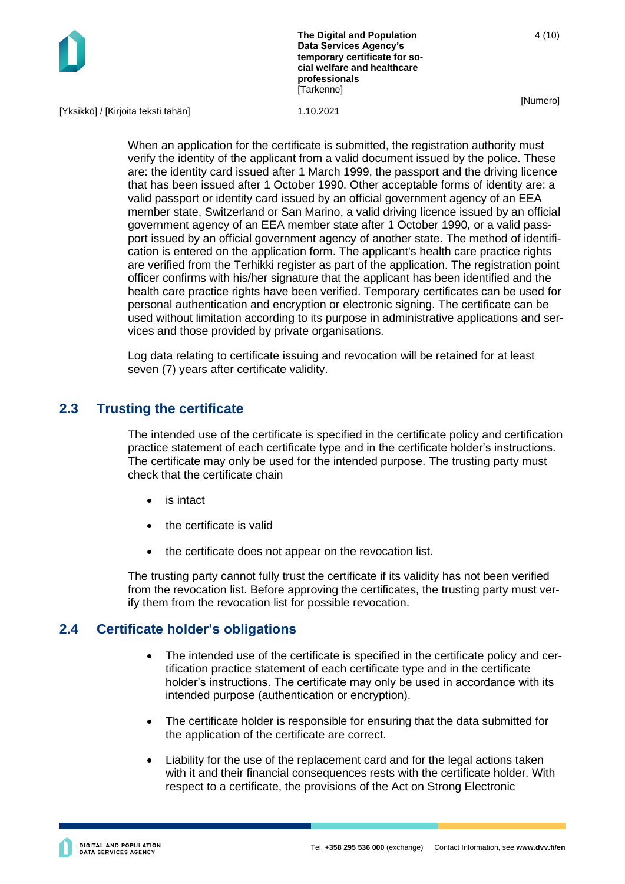

[Numero]

[Yksikkö] / [Kirjoita teksti tähän] 1.10.2021

When an application for the certificate is submitted, the registration authority must verify the identity of the applicant from a valid document issued by the police. These are: the identity card issued after 1 March 1999, the passport and the driving licence that has been issued after 1 October 1990. Other acceptable forms of identity are: a valid passport or identity card issued by an official government agency of an EEA member state, Switzerland or San Marino, a valid driving licence issued by an official government agency of an EEA member state after 1 October 1990, or a valid passport issued by an official government agency of another state. The method of identification is entered on the application form. The applicant's health care practice rights are verified from the Terhikki register as part of the application. The registration point officer confirms with his/her signature that the applicant has been identified and the health care practice rights have been verified. Temporary certificates can be used for personal authentication and encryption or electronic signing. The certificate can be used without limitation according to its purpose in administrative applications and services and those provided by private organisations.

Log data relating to certificate issuing and revocation will be retained for at least seven (7) years after certificate validity.

# <span id="page-4-0"></span>**2.3 Trusting the certificate**

The intended use of the certificate is specified in the certificate policy and certification practice statement of each certificate type and in the certificate holder's instructions. The certificate may only be used for the intended purpose. The trusting party must check that the certificate chain

- is intact
- the certificate is valid
- the certificate does not appear on the revocation list.

The trusting party cannot fully trust the certificate if its validity has not been verified from the revocation list. Before approving the certificates, the trusting party must verify them from the revocation list for possible revocation.

#### <span id="page-4-1"></span>**2.4 Certificate holder's obligations**

- The intended use of the certificate is specified in the certificate policy and certification practice statement of each certificate type and in the certificate holder's instructions. The certificate may only be used in accordance with its intended purpose (authentication or encryption).
- The certificate holder is responsible for ensuring that the data submitted for the application of the certificate are correct.
- Liability for the use of the replacement card and for the legal actions taken with it and their financial consequences rests with the certificate holder. With respect to a certificate, the provisions of the Act on Strong Electronic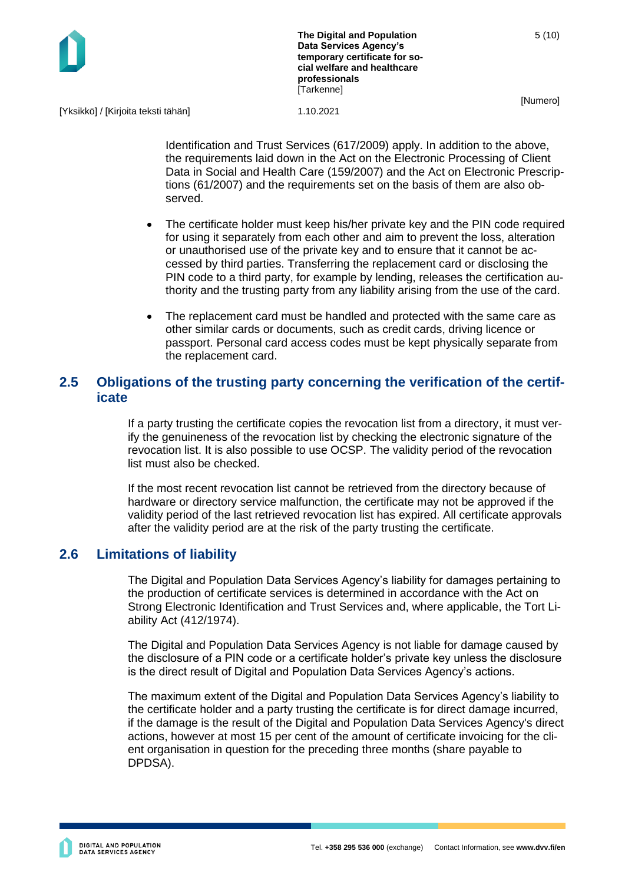**The Digital and Population Data Services Agency's temporary certificate for social welfare and healthcare professionals [Tarkenne]** 

[Yksikkö] / [Kirjoita teksti tähän] 1.10.2021

Identification and Trust Services (617/2009) apply. In addition to the above, the requirements laid down in the Act on the Electronic Processing of Client Data in Social and Health Care (159/2007) and the Act on Electronic Prescriptions (61/2007) and the requirements set on the basis of them are also observed.

- The certificate holder must keep his/her private key and the PIN code required for using it separately from each other and aim to prevent the loss, alteration or unauthorised use of the private key and to ensure that it cannot be accessed by third parties. Transferring the replacement card or disclosing the PIN code to a third party, for example by lending, releases the certification authority and the trusting party from any liability arising from the use of the card.
- The replacement card must be handled and protected with the same care as other similar cards or documents, such as credit cards, driving licence or passport. Personal card access codes must be kept physically separate from the replacement card.

# <span id="page-5-0"></span>**2.5 Obligations of the trusting party concerning the verification of the certificate**

If a party trusting the certificate copies the revocation list from a directory, it must verify the genuineness of the revocation list by checking the electronic signature of the revocation list. It is also possible to use OCSP. The validity period of the revocation list must also be checked.

If the most recent revocation list cannot be retrieved from the directory because of hardware or directory service malfunction, the certificate may not be approved if the validity period of the last retrieved revocation list has expired. All certificate approvals after the validity period are at the risk of the party trusting the certificate.

# <span id="page-5-1"></span>**2.6 Limitations of liability**

The Digital and Population Data Services Agency's liability for damages pertaining to the production of certificate services is determined in accordance with the Act on Strong Electronic Identification and Trust Services and, where applicable, the Tort Liability Act (412/1974).

The Digital and Population Data Services Agency is not liable for damage caused by the disclosure of a PIN code or a certificate holder's private key unless the disclosure is the direct result of Digital and Population Data Services Agency's actions.

The maximum extent of the Digital and Population Data Services Agency's liability to the certificate holder and a party trusting the certificate is for direct damage incurred, if the damage is the result of the Digital and Population Data Services Agency's direct actions, however at most 15 per cent of the amount of certificate invoicing for the client organisation in question for the preceding three months (share payable to DPDSA).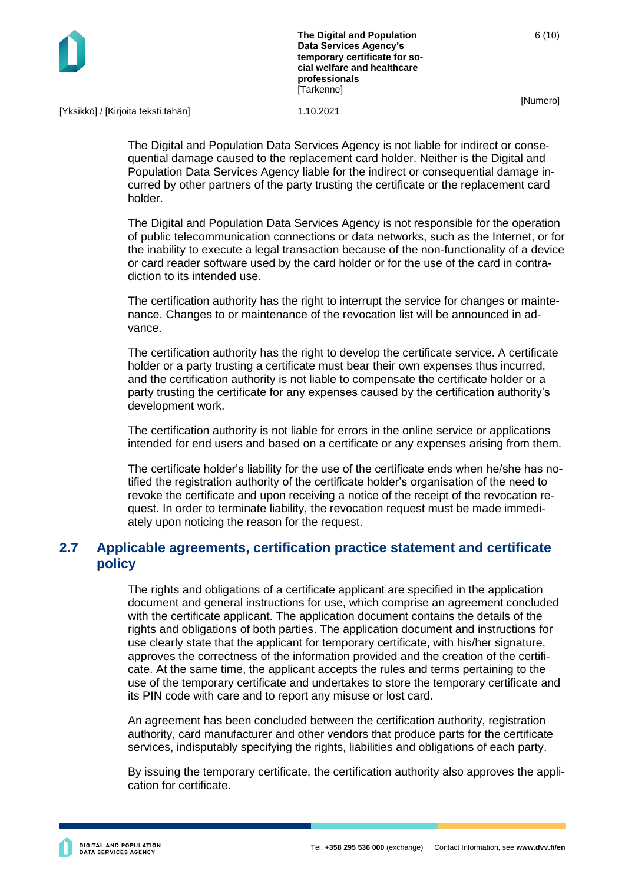

[Numero]

6 (10)

[Yksikkö] / [Kirjoita teksti tähän] 1.10.2021

The Digital and Population Data Services Agency is not liable for indirect or consequential damage caused to the replacement card holder. Neither is the Digital and Population Data Services Agency liable for the indirect or consequential damage incurred by other partners of the party trusting the certificate or the replacement card holder.

The Digital and Population Data Services Agency is not responsible for the operation of public telecommunication connections or data networks, such as the Internet, or for the inability to execute a legal transaction because of the non-functionality of a device or card reader software used by the card holder or for the use of the card in contradiction to its intended use.

The certification authority has the right to interrupt the service for changes or maintenance. Changes to or maintenance of the revocation list will be announced in advance.

The certification authority has the right to develop the certificate service. A certificate holder or a party trusting a certificate must bear their own expenses thus incurred, and the certification authority is not liable to compensate the certificate holder or a party trusting the certificate for any expenses caused by the certification authority's development work.

The certification authority is not liable for errors in the online service or applications intended for end users and based on a certificate or any expenses arising from them.

The certificate holder's liability for the use of the certificate ends when he/she has notified the registration authority of the certificate holder's organisation of the need to revoke the certificate and upon receiving a notice of the receipt of the revocation request. In order to terminate liability, the revocation request must be made immediately upon noticing the reason for the request.

# <span id="page-6-0"></span>**2.7 Applicable agreements, certification practice statement and certificate policy**

The rights and obligations of a certificate applicant are specified in the application document and general instructions for use, which comprise an agreement concluded with the certificate applicant. The application document contains the details of the rights and obligations of both parties. The application document and instructions for use clearly state that the applicant for temporary certificate, with his/her signature, approves the correctness of the information provided and the creation of the certificate. At the same time, the applicant accepts the rules and terms pertaining to the use of the temporary certificate and undertakes to store the temporary certificate and its PIN code with care and to report any misuse or lost card.

An agreement has been concluded between the certification authority, registration authority, card manufacturer and other vendors that produce parts for the certificate services, indisputably specifying the rights, liabilities and obligations of each party.

By issuing the temporary certificate, the certification authority also approves the application for certificate.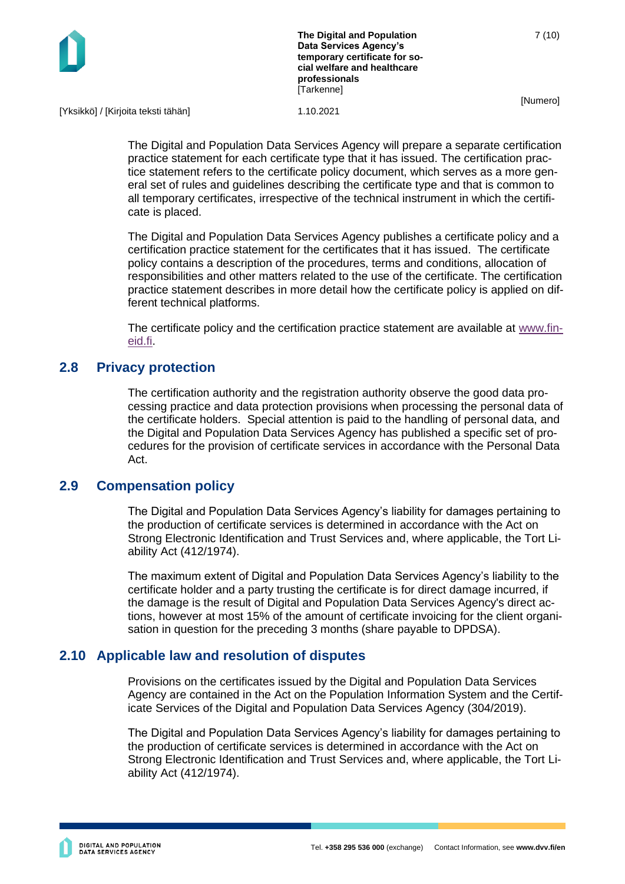

7 (10)

[Numero]

[Yksikkö] / [Kirjoita teksti tähän] 1.10.2021

The Digital and Population Data Services Agency will prepare a separate certification practice statement for each certificate type that it has issued. The certification practice statement refers to the certificate policy document, which serves as a more general set of rules and guidelines describing the certificate type and that is common to all temporary certificates, irrespective of the technical instrument in which the certificate is placed.

The Digital and Population Data Services Agency publishes a certificate policy and a certification practice statement for the certificates that it has issued. The certificate policy contains a description of the procedures, terms and conditions, allocation of responsibilities and other matters related to the use of the certificate. The certification practice statement describes in more detail how the certificate policy is applied on different technical platforms.

The certificate policy and the certification practice statement are available at [www.fin](http://www.fineid.fi/)[eid.fi.](http://www.fineid.fi/)

#### <span id="page-7-0"></span>**2.8 Privacy protection**

The certification authority and the registration authority observe the good data processing practice and data protection provisions when processing the personal data of the certificate holders. Special attention is paid to the handling of personal data, and the Digital and Population Data Services Agency has published a specific set of procedures for the provision of certificate services in accordance with the Personal Data Act.

#### <span id="page-7-1"></span>**2.9 Compensation policy**

The Digital and Population Data Services Agency's liability for damages pertaining to the production of certificate services is determined in accordance with the Act on Strong Electronic Identification and Trust Services and, where applicable, the Tort Liability Act (412/1974).

The maximum extent of Digital and Population Data Services Agency's liability to the certificate holder and a party trusting the certificate is for direct damage incurred, if the damage is the result of Digital and Population Data Services Agency's direct actions, however at most 15% of the amount of certificate invoicing for the client organisation in question for the preceding 3 months (share payable to DPDSA).

# <span id="page-7-2"></span>**2.10 Applicable law and resolution of disputes**

Provisions on the certificates issued by the Digital and Population Data Services Agency are contained in the Act on the Population Information System and the Certificate Services of the Digital and Population Data Services Agency (304/2019).

The Digital and Population Data Services Agency's liability for damages pertaining to the production of certificate services is determined in accordance with the Act on Strong Electronic Identification and Trust Services and, where applicable, the Tort Liability Act (412/1974).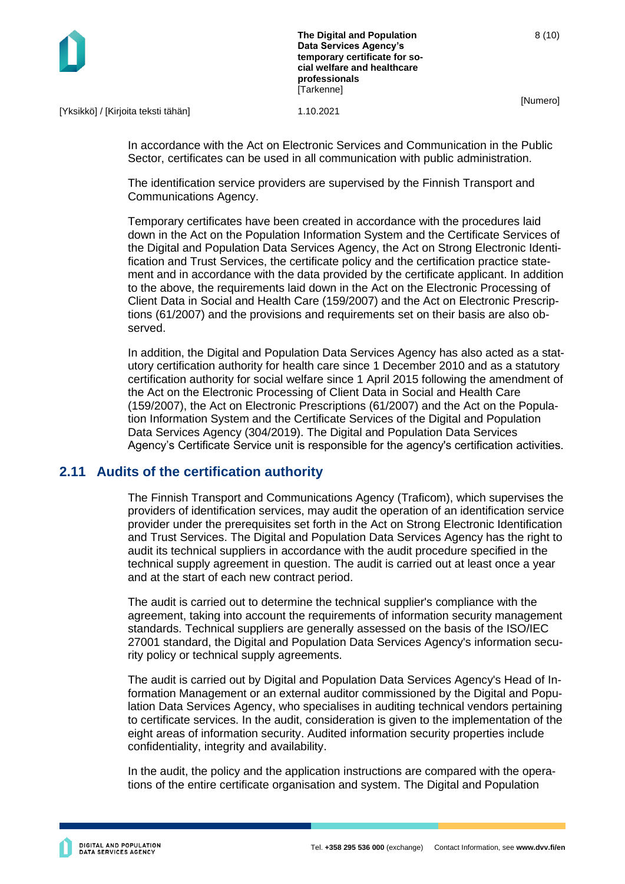

[Numero]

[Yksikkö] / [Kirjoita teksti tähän] 1.10.2021

In accordance with the Act on Electronic Services and Communication in the Public Sector, certificates can be used in all communication with public administration.

The identification service providers are supervised by the Finnish Transport and Communications Agency.

Temporary certificates have been created in accordance with the procedures laid down in the Act on the Population Information System and the Certificate Services of the Digital and Population Data Services Agency, the Act on Strong Electronic Identification and Trust Services, the certificate policy and the certification practice statement and in accordance with the data provided by the certificate applicant. In addition to the above, the requirements laid down in the Act on the Electronic Processing of Client Data in Social and Health Care (159/2007) and the Act on Electronic Prescriptions (61/2007) and the provisions and requirements set on their basis are also observed.

In addition, the Digital and Population Data Services Agency has also acted as a statutory certification authority for health care since 1 December 2010 and as a statutory certification authority for social welfare since 1 April 2015 following the amendment of the Act on the Electronic Processing of Client Data in Social and Health Care (159/2007), the Act on Electronic Prescriptions (61/2007) and the Act on the Population Information System and the Certificate Services of the Digital and Population Data Services Agency (304/2019). The Digital and Population Data Services Agency's Certificate Service unit is responsible for the agency's certification activities.

#### <span id="page-8-0"></span>**2.11 Audits of the certification authority**

The Finnish Transport and Communications Agency (Traficom), which supervises the providers of identification services, may audit the operation of an identification service provider under the prerequisites set forth in the Act on Strong Electronic Identification and Trust Services. The Digital and Population Data Services Agency has the right to audit its technical suppliers in accordance with the audit procedure specified in the technical supply agreement in question. The audit is carried out at least once a year and at the start of each new contract period.

The audit is carried out to determine the technical supplier's compliance with the agreement, taking into account the requirements of information security management standards. Technical suppliers are generally assessed on the basis of the ISO/IEC 27001 standard, the Digital and Population Data Services Agency's information security policy or technical supply agreements.

The audit is carried out by Digital and Population Data Services Agency's Head of Information Management or an external auditor commissioned by the Digital and Population Data Services Agency, who specialises in auditing technical vendors pertaining to certificate services. In the audit, consideration is given to the implementation of the eight areas of information security. Audited information security properties include confidentiality, integrity and availability.

In the audit, the policy and the application instructions are compared with the operations of the entire certificate organisation and system. The Digital and Population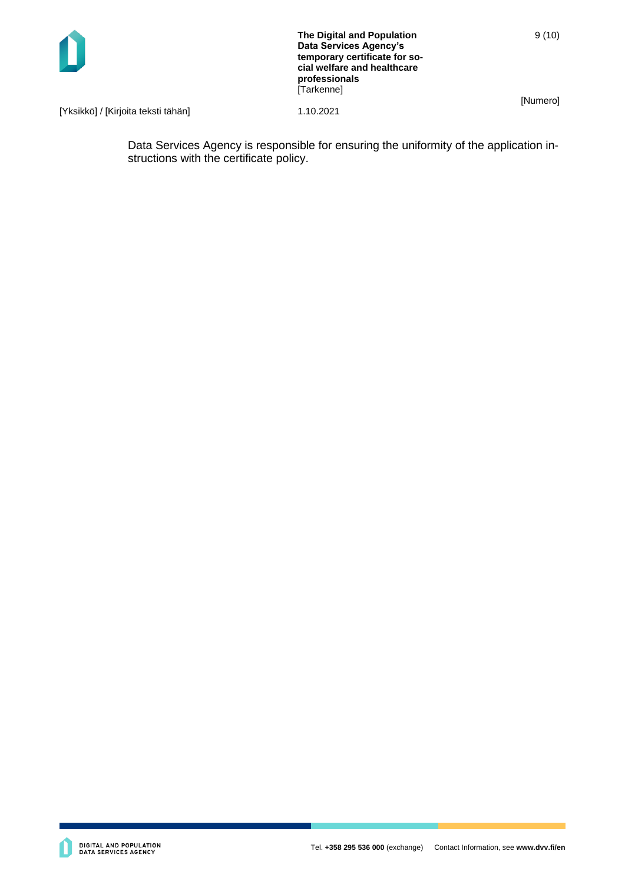

9 (10)

[Yksikkö] / [Kirjoita teksti tähän] 1.10.2021

Data Services Agency is responsible for ensuring the uniformity of the application instructions with the certificate policy.